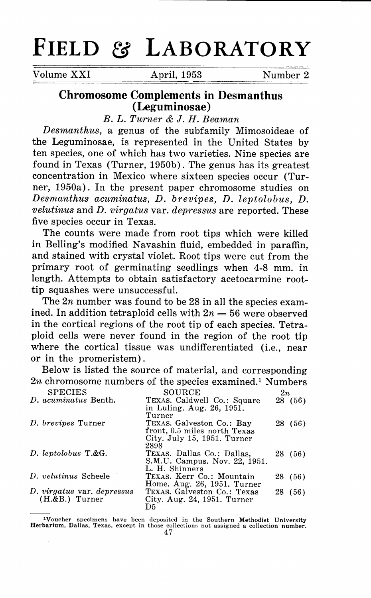## **FIELD & LABORATORY**

Volume XXI **April, 1953** Number 2

## **Chromosome Complements in Desmanthus (Leguminosae)**

*B. L. Turner &* J. *H. Beaman* 

*Desmanthus,* a genus of the subfamily Mimosoideae of the Leguminosae, is represented in the United States by ten species, one of which has two varieties. Nine species are found in Texas (Turner, 1950b). The genus has its greatest concentration in Mexico where sixteen species occur (Turner, 1950a). In the present paper chromosome studies on *Desmanthus acuminatus, D. brevipes, D. leptolobus, D. velutinus* and *D. virgatus* var. *depressus* are reported. These five species occur in Texas.

The counts were made from root tips which were killed in Belling's modified Navashin fluid, embedded in paraffin, and stained with crystal violet. Root tips were cut from the primary root of germinating seedlings when 4-8 mm. in length. Attempts to obtain satisfactory acetocarmine roottip squashes were unsuccessful.

The  $2n$  number was found to be 28 in all the species examined. In addition tetraploid cells with  $2n = 56$  were observed in the cortical regions of the root tip of each species. Tetraploid cells were never found in the region of the root tip where the cortical tissue was undifferentiated (i.e., near or in the promeristem).

Below is listed the source of material, and corresponding  $2n$  chromosome numbers of the species examined.<sup>1</sup> Numbers

| <b>SPECIES</b>             | SOURCE                                                    | 2n |         |
|----------------------------|-----------------------------------------------------------|----|---------|
| D. acuminatus Benth.       | TEXAS. Caldwell Co.: Square<br>in Luling. Aug. 26, 1951.  |    | 28 (56) |
|                            | Turner                                                    |    |         |
| D. brevipes Turner         | TEXAS. Galveston Co.: Bay<br>front, 0.5 miles north Texas |    | 28 (56) |
|                            | City. July 15, 1951. Turner                               |    |         |
| D. leptolobus T.&G.        | 2898<br>TEXAS. Dallas Co.: Dallas.                        |    | 28 (56) |
|                            | S.M.U. Campus. Nov. 22, 1951.                             |    |         |
|                            | L. H. Shinners                                            |    |         |
| D. velutinus Scheele       | TEXAS. Kerr Co.: Mountain                                 |    | 28 (56) |
|                            | Home. Aug. 26, 1951. Turner                               |    |         |
| D. virgatus var. depressus | TEXAS. Galveston Co.: Texas                               |    | 28 (56) |
| $(H.\&B.)$ Turner          | City. Aug. $24$ , 1951. Turner                            |    |         |
|                            | D5                                                        |    |         |

<sup>1</sup>Voucher specimens have been deposited in the Southern Methodist University **Her barium, Dallas, Texas, except in those collections not assigned a collection number.**  47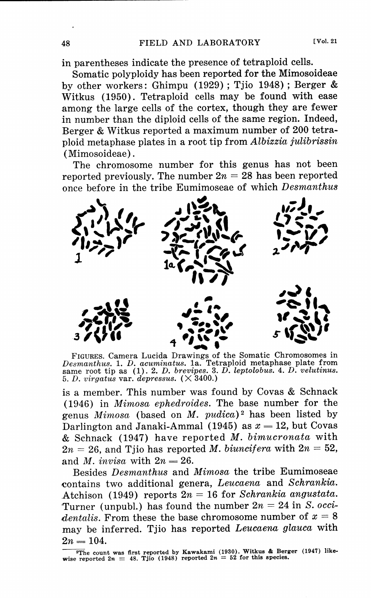in parentheses indicate the presence of tetraploid cells.

Somatic polyploidy has been reported for the Mimosoideae by other workers: Ghimpu (1929) ; Tjio 1948) ; Berger & Witkus (1950). Tetraploid cells may be found with ease among the large cells of the cortex, though they are fewer in number than the diploid cells of the same region. Indeed, Berger & Witkus reported a maximum number of 200 tetra<sup>p</sup>loid meta phase plates in a root tip from *Albizzia julibrissin*  (Mimosoideae).

The chromosome number for this genus has not been reported previously. The number  $2n = 28$  has been reported once before in the tribe Eumimoseae of which *Desmanthus* 



FIGURES. Camera Lucida Drawings of the Somatic Chromosomes in *Desmanthus.* 1. *D. acuminatus.* 1a. Tetraploid metaphase plate from same root tip as (1). 2. *D. brevipes.* 3. *D. leptolobus.* 4. *D. velutinus.* 5. *D. virgatus* var. *depressus.* ( X 3400.)

is a member. This number was found by Covas & Schnack (1946) in *Mimosa ephedroides.* The base number for the genus *Mimosa* (based on *M. pudica)* 2 has been listed by Darlington and Janaki-Ammal (1945) as  $x = 12$ , but Covas & Schnack (1947) have reported *M. bimucronata* with  $2n = 26$ , and Tjio has reported *M. biuncifera* with  $2n = 52$ , and *M. invisa* with  $2n = 26$ .

Besides *Desmanthus* and *Mimosa* the tribe Eumimoseae contains two additional genera, *Leucaena* and *Schrankia.*  Atchison (1949) reports  $2n = 16$  for *Schrankia angustata*. Turner (unpubl.) has found the number  $2n = 24$  in *S. occidentalis.* From these the base chromosome number of  $x = 8$ may be inferred. Tjio has reported *Leucaena glauca* with  $2n = 104.$ 

<sup>&</sup>lt;sup>T</sup>he count was first reported by Kawakami (1930). Witkus & Berger (1947) like-<br>wise reported 2n = 48. Tjio (1948) reported 2n = 52 for this species.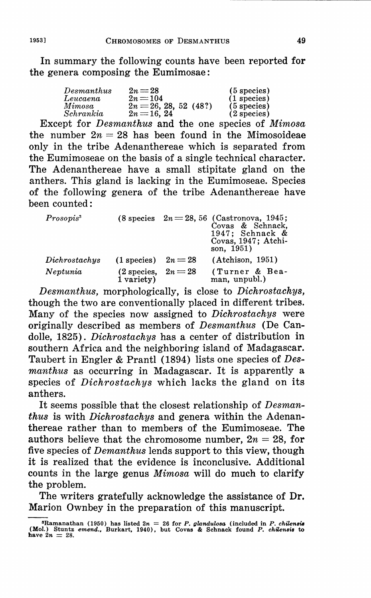In summary the following counts have been reported for the genera composing the Eumimosae:

| Desmanthus         | $2n=28$                               | $(5$ species)                  |
|--------------------|---------------------------------------|--------------------------------|
| Leucaena<br>Mimosa | $2n = 104$<br>$2n = 26, 28, 52 (48?)$ | $(1$ species)<br>$(5$ species) |
| Schrankia          | $2n = 16, 24$                         | $(2$ species)                  |

Except for *Desmanthus* and the one species of *Mimosa*  the number  $2n = 28$  has been found in the Mimosoideae only in the tribe Adenanthereae which is separated from the Eumimoseae on the basis of a single technical character. The Adenanthereae have a small stipitate gland on the anthers. This gland is lacking in the Eumimoseae. Species of the following genera of the tribe Adenanthereae have been counted :

| Prosopis <sup>3</sup> |                                     |         | $(8 \text{ species } 2n = 28, 56 \text{ (Castronova, } 1945;$<br>Covas & Schnack,<br>1947: Schnack $\&$<br>Covas, 1947; Atchi-<br>son. $1951$ ) |
|-----------------------|-------------------------------------|---------|-------------------------------------------------------------------------------------------------------------------------------------------------|
| Dichrostachys         | $(1$ species)                       | $2n=28$ | (Atchison, 1951)                                                                                                                                |
| Neptunia              | (2 species, $2n = 28$<br>1 variety) |         | (Turner & Bea-<br>man, unpubl.)                                                                                                                 |

*Desmanthus,* morphologically, is close to *Dichrostachys,*  though the two are conventionally placed in different tribes. Many of the species now assigned to *Dichrostachys* were originally described as members of *Desmanthus* (De Candolle, 1825). *Dichrostachys* has a center of distribution in southern Africa and the neighboring island of Madagascar. Taubert in Engler & Prantl (1894) lists one species of *Desmanthus* as occurring in Madagascar. It is apparently a species of *Dichrostachys* which lacks the gland on its anthers.

It seems possible that the closest relationship of *Desmanthus* is with *Dichrostachys* and genera within the Adenanthereae rather than to members of the Eumimoseae. **The**  authors believe that the chromosome number,  $2n = 28$ , for five species of *Demanthus* lends support to this view, though it is realized that the evidence is inconclusive. Additional counts in the large genus *Mimosa* will do much to clarify the problem.

The writers gratefully acknowledge the assistance of Dr. Marion Ownbey in the preparation of this manuscript.

<sup>•</sup>Ramanathan (1950) has listed 2n = 26 for *P.* glanduloaa (included in *P. ckilenBia*  (Mo!.) Stuntz *emend.,* Burkart, 1940), but Covas & Schnack found *P. ckuensis* to have 2n = 28.